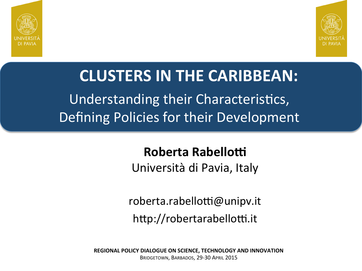



## Understanding their Characteristics, Defining Policies for their Development **CLUSTERS IN THE CARIBBEAN:**

#### **Roberta Rabellotti**

Università di Pavia, Italy

roberta.rabellotti@unipv.it

http://robertarabellotti.it

**REGIONAL POLICY DIALOGUE ON SCIENCE, TECHNOLOGY AND INNOVATION** BRIDGETOWN, BARBADOS, 29-30 APRIL 2015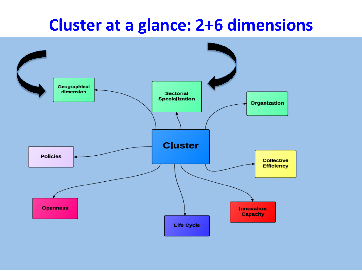### **Cluster at a glance: 2+6 dimensions**

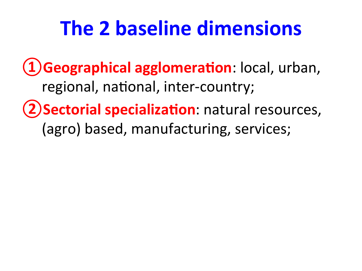## **The 2 baseline dimensions**

**L)Geographical agglomeration**: local, urban, regional, national, inter-country;

**(2) Sectorial specialization**: natural resources, (agro) based, manufacturing, services;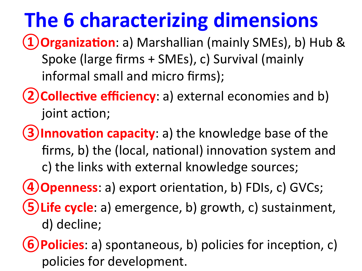## **The 6 characterizing dimensions**

- **(1) Organization**: a) Marshallian (mainly SMEs), b) Hub & Spoke (large firms + SMEs), c) Survival (mainly informal small and micro firms);
- **(2) Collective efficiency**: a) external economies and b) joint action;
- **(3)Innovation capacity**: a) the knowledge base of the firms, b) the (local, national) innovation system and c) the links with external knowledge sources;
- **4) Openness**: a) export orientation, b) FDIs, c) GVCs;
- **(5) Life cycle**: a) emergence, b) growth, c) sustainment, d) decline;

**6) Policies**: a) spontaneous, b) policies for inception, c) policies for development.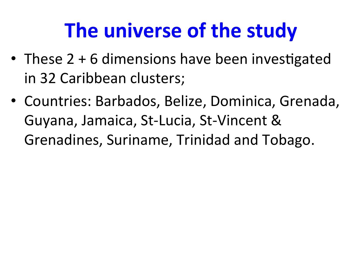## **The universe of the study**

- These  $2 + 6$  dimensions have been investigated in 32 Caribbean clusters;
- Countries: Barbados, Belize, Dominica, Grenada, Guyana, Jamaica, St-Lucia, St-Vincent & Grenadines, Suriname, Trinidad and Tobago.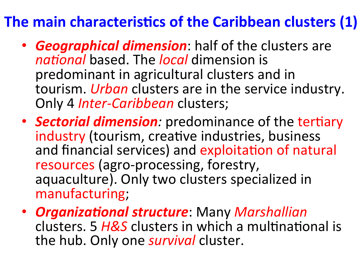### **The main characteristics of the Caribbean clusters (1)**

- **Geographical dimension**: half of the clusters are *national* based. The *local* dimension is predominant in agricultural clusters and in tourism. *Urban* clusters are in the service industry.<br>Only 4 *Inter-Caribbean* clusters;
- **Sectorial dimension**: predominance of the tertiary industry (tourism, creative industries, business and financial services) and exploitation of natural resources (agro-processing, forestry, aquaculture). Only two clusters specialized in manufacturing;
- **Organizational structure**: Many *Marshallian* clusters. 5 H&S clusters in which a multinational is the hub. Only one *survival* cluster.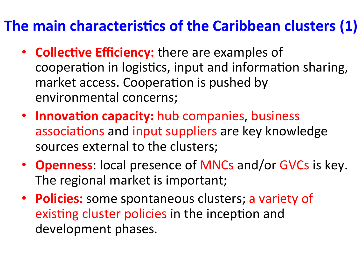### The main characteristics of the Caribbean clusters (1)

- **Collective Efficiency:** there are examples of cooperation in logistics, input and information sharing, market access. Cooperation is pushed by environmental concerns;
- **Innovation capacity:** hub companies, business associations and input suppliers are key knowledge sources external to the clusters;
- **Openness**: local presence of MNCs and/or GVCs is key. The regional market is important;
- **Policies:** some spontaneous clusters; a variety of existing cluster policies in the inception and development phases.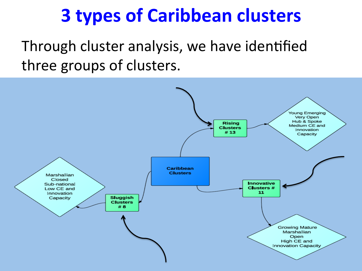## **3 types of Caribbean clusters**

Through cluster analysis, we have identified three groups of clusters.

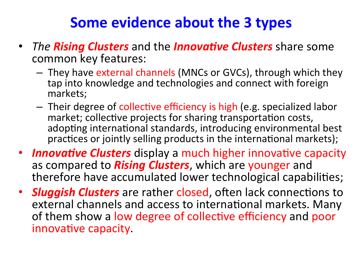### **Some evidence about the 3 types**

- *The Rising Clusters* and the *Innovative Clusters* share some common key features:
	- $-$  They have external channels (MNCs or GVCs), through which they tap into knowledge and technologies and connect with foreign markets;
	- $-$  Their degree of collective efficiency is high (e.g. specialized labor market; collective projects for sharing transportation costs, adopting international standards, introducing environmental best practices or jointly selling products in the international markets);
- **Innovative Clusters** display a much higher innovative capacity as compared to *Rising Clusters*, which are younger and therefore have accumulated lower technological capabilities;
- **Sluggish Clusters** are rather closed, often lack connections to external channels and access to international markets. Many of them show a low degree of collective efficiency and poor innovative capacity.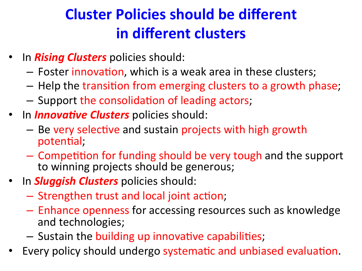### **Cluster Policies should be different in different clusters**

- In **Rising Clusters** policies should:
	- $-$  Foster innovation, which is a weak area in these clusters;
	- $-$  Help the transition from emerging clusters to a growth phase;
	- $-$  Support the consolidation of leading actors;
- In **Innovative Clusters** policies should:
	- $-$  Be very selective and sustain projects with high growth potential;
	- $-$  Competition for funding should be very tough and the support to winning projects should be generous;
- **In Sluggish Clusters** policies should:
	- $-$  Strengthen trust and local joint action;
	- $-$  Enhance openness for accessing resources such as knowledge and technologies;
	- Sustain the building up innovative capabilities;
- Every policy should undergo systematic and unbiased evaluation.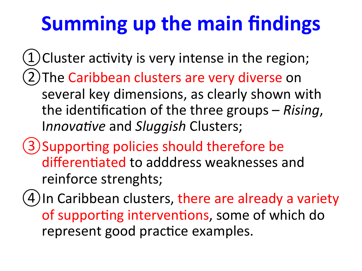# **Summing up the main findings**

 $(1)$ Cluster activity is very intense in the region; (2) The Caribbean clusters are very diverse on several key dimensions, as clearly shown with the identification of the three groups – *Rising*, *Innovative* and *Sluggish* Clusters;

(3) Supporting policies should therefore be differentiated to adddress weaknesses and reinforce strenghts;

(4) In Caribbean clusters, there are already a variety of supporting interventions, some of which do represent good practice examples.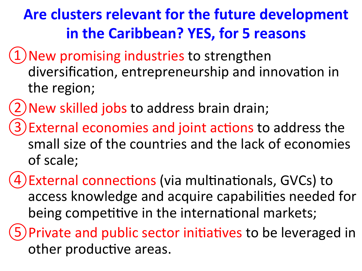### **Are clusters relevant for the future development in the Caribbean? YES, for 5 reasons**

- 1) New promising industries to strengthen diversification, entrepreneurship and innovation in the region;
- 2) New skilled jobs to address brain drain;
- 3) External economies and joint actions to address the small size of the countries and the lack of economies of scale;
- 4) External connections (via multinationals, GVCs) to access knowledge and acquire capabilities needed for being competitive in the international markets;
- 5) Private and public sector initiatives to be leveraged in other productive areas.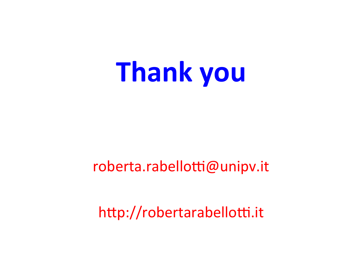# **Thank you**

#### roberta.rabellotti@unipv.it

http://robertarabellotti.it